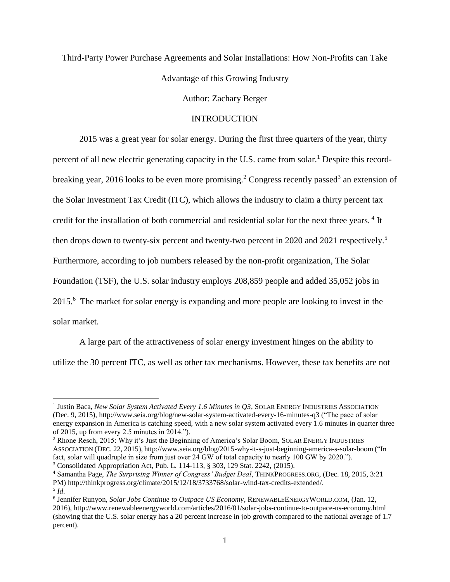Third-Party Power Purchase Agreements and Solar Installations: How Non-Profits can Take Advantage of this Growing Industry

Author: Zachary Berger

### **INTRODUCTION**

2015 was a great year for solar energy. During the first three quarters of the year, thirty percent of all new electric generating capacity in the U.S. came from solar.<sup>1</sup> Despite this recordbreaking year, 2016 looks to be even more promising.<sup>2</sup> Congress recently passed<sup>3</sup> an extension of the Solar Investment Tax Credit (ITC), which allows the industry to claim a thirty percent tax credit for the installation of both commercial and residential solar for the next three years.<sup>4</sup> It then drops down to twenty-six percent and twenty-two percent in 2020 and 2021 respectively.<sup>5</sup> Furthermore, according to job numbers released by the non-profit organization, The Solar Foundation (TSF), the U.S. solar industry employs 208,859 people and added 35,052 jobs in 2015.<sup>6</sup> The market for solar energy is expanding and more people are looking to invest in the solar market.

<span id="page-0-0"></span>A large part of the attractiveness of solar energy investment hinges on the ability to utilize the 30 percent ITC, as well as other tax mechanisms. However, these tax benefits are not

<sup>&</sup>lt;sup>1</sup> Justin Baca, *New Solar System Activated Every 1.6 Minutes in Q3*, SOLAR ENERGY INDUSTRIES ASSOCIATION (Dec. 9, 2015), http://www.seia.org/blog/new-solar-system-activated-every-16-minutes-q3 ("The pace of solar energy expansion in America is catching speed, with a new solar system activated every 1.6 minutes in quarter three of 2015, up from every 2.5 minutes in 2014.").

<sup>2</sup> Rhone Resch, 2015: Why it's Just the Beginning of America's Solar Boom, SOLAR ENERGY INDUSTRIES ASSOCIATION (DEC. 22, 2015), http://www.seia.org/blog/2015-why-it-s-just-beginning-america-s-solar-boom ("In fact, solar will quadruple in size from just over 24 GW of total capacity to nearly 100 GW by 2020."). <sup>3</sup> Consolidated Appropriation Act, [Pub. L. 114-113, § 303, 129 Stat. 2242,](https://advance.lexis.com/api/document/collection/statutes-legislation/id/5HNN-NM90-0019-T2H3-00000-00?context=1000516) (2015).

<sup>4</sup> Samantha Page, *The Surprising Winner of Congress' Budget Deal*, THINKPROGRESS.ORG, (Dec. 18, 2015, 3:21 PM) http://thinkprogress.org/climate/2015/12/18/3733768/solar-wind-tax-credits-extended/. 5 *Id*.

<sup>6</sup> Jennifer Runyon, *Solar Jobs Continue to Outpace US Economy*, RENEWABLEENERGYWORLD.COM, (Jan. 12, 2016), http://www.renewableenergyworld.com/articles/2016/01/solar-jobs-continue-to-outpace-us-economy.html (showing that the U.S. solar energy has a 20 percent increase in job growth compared to the national average of 1.7 percent).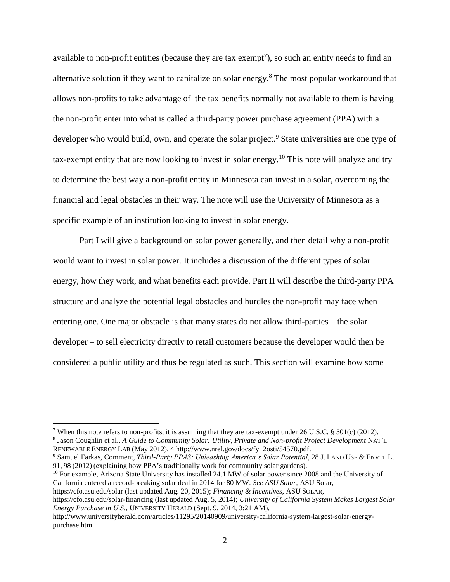<span id="page-1-2"></span><span id="page-1-1"></span>available to non-profit entities (because they are tax exempt<sup>7</sup>), so such an entity needs to find an alternative solution if they want to capitalize on solar energy.<sup>8</sup> The most popular workaround that allows non-profits to take advantage of the tax benefits normally not available to them is having the non-profit enter into what is called a third-party power purchase agreement (PPA) with a developer who would build, own, and operate the solar project.<sup>9</sup> State universities are one type of tax-exempt entity that are now looking to invest in solar energy.<sup>10</sup> This note will analyze and try to determine the best way a non-profit entity in Minnesota can invest in a solar, overcoming the financial and legal obstacles in their way. The note will use the University of Minnesota as a specific example of an institution looking to invest in solar energy.

<span id="page-1-0"></span>Part I will give a background on solar power generally, and then detail why a non-profit would want to invest in solar power. It includes a discussion of the different types of solar energy, how they work, and what benefits each provide. Part II will describe the third-party PPA structure and analyze the potential legal obstacles and hurdles the non-profit may face when entering one. One major obstacle is that many states do not allow third-parties – the solar developer – to sell electricity directly to retail customers because the developer would then be considered a public utility and thus be regulated as such. This section will examine how some

 $\overline{a}$ 

<sup>10</sup> For example, Arizona State University has installed 24.1 MW of solar power since 2008 and the University of California entered a record-breaking solar deal in 2014 for 80 MW. *See ASU Solar,* ASU Solar, https://cfo.asu.edu/solar (last updated Aug. 20, 2015); *Financing & Incentives*, ASU SOLAR,

https://cfo.asu.edu/solar-financing (last updated Aug. 5, 2014); *University of California System Makes Largest Solar Energy Purchase in U.S.*, UNIVERSITY HERALD (Sept. 9, 2014, 3:21 AM),

<sup>&</sup>lt;sup>7</sup> When this note refers to non-profits, it is assuming that they are tax-exempt under 26 U.S.C. § 501(c) (2012). 8 Jason Coughlin et al., *A Guide to Community Solar: Utility, Private and Non-profit Project Development* NAT'L

RENEWABLE ENERGY LAB (May 2012), 4 http://www.nrel.gov/docs/fy12osti/54570.pdf.

<sup>9</sup> Samuel Farkas, Comment, *Third-Party PPAS: Unleashing America's Solar Potential*, 28 J. LAND USE & ENVTL L. 91, 98 (2012) (explaining how PPA's traditionally work for community solar gardens).

http://www.universityherald.com/articles/11295/20140909/university-california-system-largest-solar-energypurchase.htm.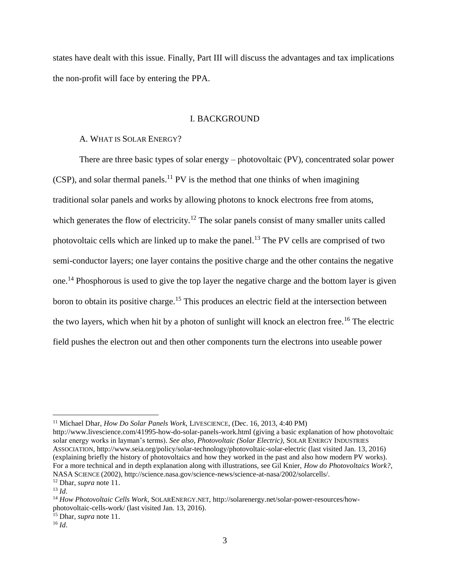states have dealt with this issue. Finally, Part III will discuss the advantages and tax implications the non-profit will face by entering the PPA.

### <span id="page-2-0"></span>I. BACKGROUND

# A. WHAT IS SOLAR ENERGY?

There are three basic types of solar energy – photovoltaic (PV), concentrated solar power  $(CSP)$ , and solar thermal panels.<sup>11</sup> PV is the method that one thinks of when imagining traditional solar panels and works by allowing photons to knock electrons free from atoms, which generates the flow of electricity.<sup>12</sup> The solar panels consist of many smaller units called photovoltaic cells which are linked up to make the panel.<sup>13</sup> The PV cells are comprised of two semi-conductor layers; one layer contains the positive charge and the other contains the negative one.<sup>14</sup> Phosphorous is used to give the top layer the negative charge and the bottom layer is given boron to obtain its positive charge.<sup>15</sup> This produces an electric field at the intersection between the two layers, which when hit by a photon of sunlight will knock an electron free.<sup>16</sup> The electric field pushes the electron out and then other components turn the electrons into useable power

<sup>&</sup>lt;sup>11</sup> Michael Dhar, *How Do Solar Panels Work*, LIVESCIENCE, (Dec. 16, 2013, 4:40 PM)

http://www.livescience.com/41995-how-do-solar-panels-work.html (giving a basic explanation of how photovoltaic solar energy works in layman's terms). *See also*, *Photovoltaic (Solar Electric)*, SOLAR ENERGY INDUSTRIES ASSOCIATION, http://www.seia.org/policy/solar-technology/photovoltaic-solar-electric (last visited Jan. 13, 2016) (explaining briefly the history of photovoltaics and how they worked in the past and also how modern PV works). For a more technical and in depth explanation along with illustrations, see Gil Knier, *How do Photovoltaics Work?*, NASA SCIENCE (2002), http://science.nasa.gov/science-news/science-at-nasa/2002/solarcells/.

<sup>12</sup> Dhar, *supra* note [11.](#page-2-0)

<sup>13</sup> *Id*.

<sup>14</sup> *How Photovoltaic Cells Work*, SOLARENERGY.NET, http://solarenergy.net/solar-power-resources/howphotovoltaic-cells-work/ (last visited Jan. 13, 2016).

<sup>15</sup> Dhar, *supra* note [11.](#page-2-0)

<sup>16</sup> *Id*.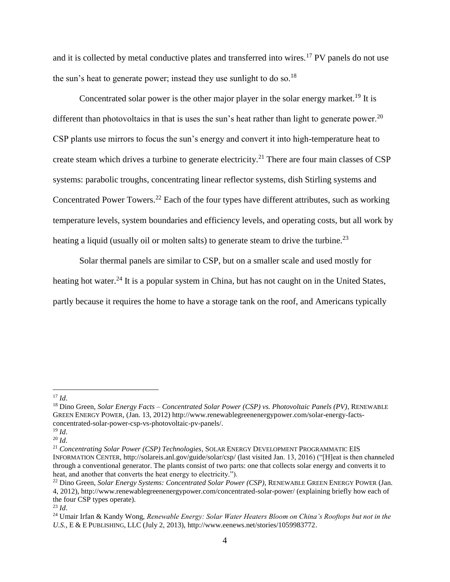and it is collected by metal conductive plates and transferred into wires.<sup>17</sup> PV panels do not use the sun's heat to generate power; instead they use sunlight to do so.<sup>18</sup>

<span id="page-3-0"></span>Concentrated solar power is the other major player in the solar energy market.<sup>19</sup> It is different than photovoltaics in that is uses the sun's heat rather than light to generate power.<sup>20</sup> CSP plants use mirrors to focus the sun's energy and convert it into high-temperature heat to create steam which drives a turbine to generate electricity.<sup>21</sup> There are four main classes of CSP systems: parabolic troughs, concentrating linear reflector systems, dish Stirling systems and Concentrated Power Towers.<sup>22</sup> Each of the four types have different attributes, such as working temperature levels, system boundaries and efficiency levels, and operating costs, but all work by heating a liquid (usually oil or molten salts) to generate steam to drive the turbine.<sup>23</sup>

Solar thermal panels are similar to CSP, but on a smaller scale and used mostly for heating hot water.<sup>24</sup> It is a popular system in China, but has not caught on in the United States, partly because it requires the home to have a storage tank on the roof, and Americans typically

<sup>17</sup> *Id*.

<sup>18</sup> Dino Green, *Solar Energy Facts – Concentrated Solar Power (CSP) vs. Photovoltaic Panels (PV)*, RENEWABLE GREEN ENERGY POWER, (Jan. 13, 2012) http://www.renewablegreenenergypower.com/solar-energy-factsconcentrated-solar-power-csp-vs-photovoltaic-pv-panels/.

<sup>19</sup> *Id*.

<sup>20</sup> *Id*.

<sup>21</sup> *Concentrating Solar Power (CSP) Technologies*, SOLAR ENERGY DEVELOPMENT PROGRAMMATIC EIS INFORMATION CENTER, http://solareis.anl.gov/guide/solar/csp/ (last visited Jan. 13, 2016) ("[H]eat is then channeled through a conventional generator. The plants consist of two parts: one that collects solar energy and converts it to heat, and another that converts the heat energy to electricity.").

<sup>22</sup> Dino Green, *Solar Energy Systems: Concentrated Solar Power (CSP)*, RENEWABLE GREEN ENERGY POWER (Jan. 4, 2012), http://www.renewablegreenenergypower.com/concentrated-solar-power/ (explaining briefly how each of the four CSP types operate).

<sup>23</sup> *Id*.

<sup>24</sup> Umair Irfan & Kandy Wong, *Renewable Energy: Solar Water Heaters Bloom on China's Rooftops but not in the U.S.*, E & E PUBLISHING, LLC (July 2, 2013), http://www.eenews.net/stories/1059983772.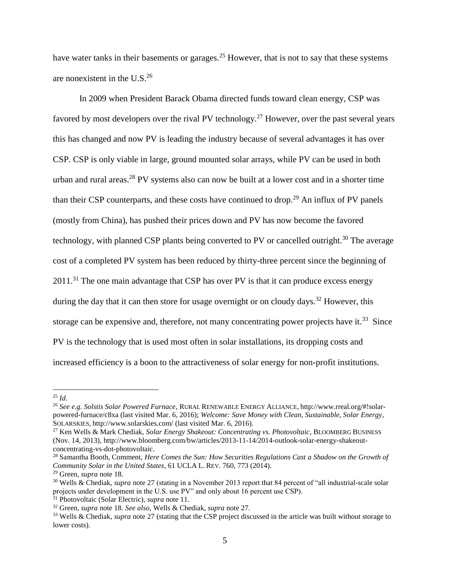have water tanks in their basements or garages.<sup>25</sup> However, that is not to say that these systems are nonexistent in the U.S. $^{26}$ 

<span id="page-4-1"></span><span id="page-4-0"></span>In 2009 when President Barack Obama directed funds toward clean energy, CSP was favored by most developers over the rival PV technology.<sup>27</sup> However, over the past several years this has changed and now PV is leading the industry because of several advantages it has over CSP. CSP is only viable in large, ground mounted solar arrays, while PV can be used in both urban and rural areas.<sup>28</sup> PV systems also can now be built at a lower cost and in a shorter time than their CSP counterparts, and these costs have continued to drop.<sup>29</sup> An influx of PV panels (mostly from China), has pushed their prices down and PV has now become the favored technology, with planned CSP plants being converted to PV or cancelled outright.<sup>30</sup> The average cost of a completed PV system has been reduced by thirty-three percent since the beginning of 2011.<sup>31</sup> The one main advantage that CSP has over PV is that it can produce excess energy during the day that it can then store for usage overnight or on cloudy days.<sup>32</sup> However, this storage can be expensive and, therefore, not many concentrating power projects have it.<sup>33</sup> Since PV is the technology that is used most often in solar installations, its dropping costs and increased efficiency is a boon to the attractiveness of solar energy for non-profit institutions.

 $^{25}$  *Id.* 

<sup>26</sup> *See e.g. Solstis Solar Powered Furnace*, RURAL RENEWABLE ENERGY ALLIANCE, http://www.rreal.org/#!solarpowered-furnace/c8xa (last visited Mar. 6, 2016); *Welcome: Save Money with Clean, Sustainable, Solar Energy*, SOLARSKIES, http://www.solarskies.com/ (last visited Mar. 6, 2016).

<sup>27</sup> Ken Wells & Mark Chediak, *Solar Energy Shakeout: Concentrating vs. Photovoltaic*, BLOOMBERG BUSINESS (Nov. 14, 2013), http://www.bloomberg.com/bw/articles/2013-11-14/2014-outlook-solar-energy-shakeoutconcentrating-vs-dot-photovoltaic.

<sup>28</sup> Samantha Booth, Comment, *Here Comes the Sun: How Securities Regulations Cast a Shadow on the Growth of Community Solar in the United States*, 61 UCLA L. REV. 760, 773 (2014).

<sup>29</sup> Green, *supra* note [18.](#page-3-0)

<sup>30</sup> Wells & Chediak, *supra* note [27](#page-4-0) (stating in a November 2013 report that 84 percent of "all industrial-scale solar projects under development in the U.S. use PV" and only about 16 percent use CSP).

<sup>31</sup> Photovoltaic (Solar Electric), *supra* note [11.](#page-2-0)

<sup>32</sup> Green, *supra* note [18.](#page-3-0) *See also*, Wells & Chediak, *supra* note [27.](#page-4-0)

<sup>33</sup> Wells & Chediak, *supra* note [27](#page-4-0) (stating that the CSP project discussed in the article was built without storage to lower costs).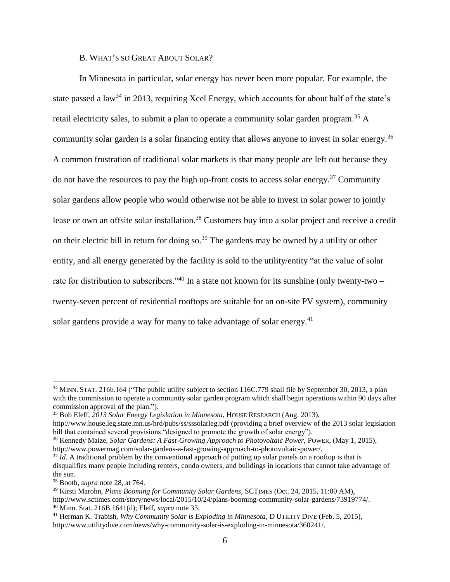### <span id="page-5-0"></span>B. WHAT'S SO GREAT ABOUT SOLAR?

In Minnesota in particular, solar energy has never been more popular. For example, the state passed a law<sup>34</sup> in 2013, requiring Xcel Energy, which accounts for about half of the state's retail electricity sales, to submit a plan to operate a community solar garden program.<sup>35</sup> A community solar garden is a solar financing entity that allows anyone to invest in solar energy.<sup>36</sup> A common frustration of traditional solar markets is that many people are left out because they do not have the resources to pay the high up-front costs to access solar energy.<sup>37</sup> Community solar gardens allow people who would otherwise not be able to invest in solar power to jointly lease or own an offsite solar installation.<sup>38</sup> Customers buy into a solar project and receive a credit on their electric bill in return for doing so.<sup>39</sup> The gardens may be owned by a utility or other entity, and all energy generated by the facility is sold to the utility/entity "at the value of solar rate for distribution to subscribers."<sup>40</sup> In a state not known for its sunshine (only twenty-two – twenty-seven percent of residential rooftops are suitable for an on-site PV system), community solar gardens provide a way for many to take advantage of solar energy.<sup>41</sup>

<sup>&</sup>lt;sup>34</sup> MINN. STAT. 216b.164 ("The public utility subject to section 116C.779 shall file by September 30, 2013, a plan with the commission to operate a community solar garden program which shall begin operations within 90 days after commission approval of the plan.").

<sup>35</sup> Bob Eleff, *2013 Solar Energy Legislation in Minnesota*, HOUSE RESEARCH (Aug. 2013),

http://www.house.leg.state.mn.us/hrd/pubs/ss/sssolarleg.pdf (providing a brief overview of the 2013 solar legislation bill that contained several provisions "designed to promote the growth of solar energy").

<sup>36</sup> Kennedy Maize, *Solar Gardens: A Fast-Growing Approach to Photovoltaic Power,* POWER, (May 1, 2015), http://www.powermag.com/solar-gardens-a-fast-growing-approach-to-photovoltaic-power/.

<sup>&</sup>lt;sup>37</sup> *Id.* A traditional problem by the conventional approach of putting up solar panels on a rooftop is that is disqualifies many people including renters, condo owners, and buildings in locations that cannot take advantage of the sun.

<sup>38</sup> Booth, *supra* not[e 28,](#page-4-1) at 764.

<sup>39</sup> Kirsti Marohn, *Plans Booming for Community Solar Gardens*, SCTIMES (Oct. 24, 2015, 11:00 AM), http://www.sctimes.com/story/news/local/2015/10/24/plans-booming-community-solar-gardens/73919774/. <sup>40</sup> Minn. Stat. 216B.1641(d); Eleff, *supra* note [35.](#page-5-0)

<sup>41</sup> Herman K. Trabish, *Why Community Solar is Exploding in Minnesota*, D UTILITY DIVE (Feb. 5, 2015), http://www.utilitydive.com/news/why-community-solar-is-exploding-in-minnesota/360241/.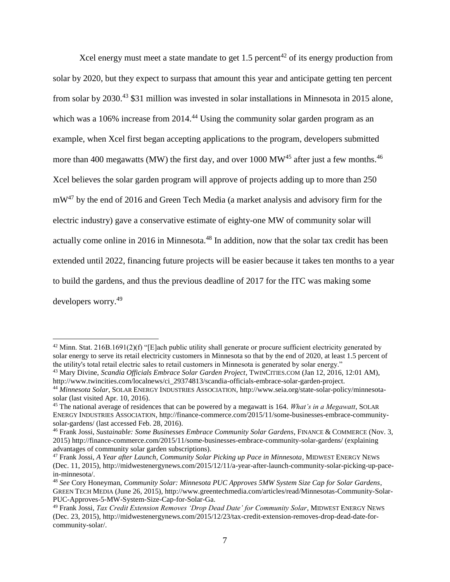Xcel energy must meet a state mandate to get 1.5 percent<sup>42</sup> of its energy production from solar by 2020, but they expect to surpass that amount this year and anticipate getting ten percent from solar by 2030.<sup>43</sup> \$31 million was invested in solar installations in Minnesota in 2015 alone, which was a 106% increase from 2014.<sup>44</sup> Using the community solar garden program as an example, when Xcel first began accepting applications to the program, developers submitted more than 400 megawatts (MW) the first day, and over 1000 MW<sup>45</sup> after just a few months.<sup>46</sup> Xcel believes the solar garden program will approve of projects adding up to more than 250 mW<sup>47</sup> by the end of 2016 and Green Tech Media (a market analysis and advisory firm for the electric industry) gave a conservative estimate of eighty-one MW of community solar will actually come online in 2016 in Minnesota.<sup>48</sup> In addition, now that the solar tax credit has been extended until 2022, financing future projects will be easier because it takes ten months to a year to build the gardens, and thus the previous deadline of 2017 for the ITC was making some developers worry.<sup>49</sup>

 $42$  Minn. Stat. 216B.1691(2)(f) "[E]ach public utility shall generate or procure sufficient electricity generated by solar energy to serve its retail electricity customers in Minnesota so that by the end of 2020, at least 1.5 percent of the utility's total retail electric sales to retail customers in Minnesota is generated by solar energy."

<sup>43</sup> Mary Divine, *Scandia Officials Embrace Solar Garden Project*, TWINCITIES.COM (Jan 12, 2016, 12:01 AM), http://www.twincities.com/localnews/ci\_29374813/scandia-officials-embrace-solar-garden-project.

<sup>44</sup> *Minnesota Solar*, SOLAR ENERGY INDUSTRIES ASSOCIATION, http://www.seia.org/state-solar-policy/minnesotasolar (last visited Apr. 10, 2016).

<sup>45</sup> The national average of residences that can be powered by a megawatt is 164. *What's in a Megawatt*, SOLAR ENERGY INDUSTRIES ASSOCIATION, http://finance-commerce.com/2015/11/some-businesses-embrace-communitysolar-gardens/ (last accessed Feb. 28, 2016).

<sup>46</sup> Frank Jossi, *Sustainable: Some Businesses Embrace Community Solar Gardens*, FINANCE & COMMERCE (Nov. 3, 2015) http://finance-commerce.com/2015/11/some-businesses-embrace-community-solar-gardens/ (explaining advantages of community solar garden subscriptions).

<sup>47</sup> Frank Jossi, *A Year after Launch, Community Solar Picking up Pace in Minnesota*, MIDWEST ENERGY NEWS (Dec. 11, 2015), http://midwestenergynews.com/2015/12/11/a-year-after-launch-community-solar-picking-up-pacein-minnesota/.

<sup>48</sup> *See* Cory Honeyman, *Community Solar: Minnesota PUC Approves 5MW System Size Cap for Solar Gardens*, GREEN TECH MEDIA (June 26, 2015), http://www.greentechmedia.com/articles/read/Minnesotas-Community-Solar-PUC-Approves-5-MW-System-Size-Cap-for-Solar-Ga.

<sup>49</sup> Frank Jossi, *Tax Credit Extension Removes 'Drop Dead Date' for Community Solar*, MIDWEST ENERGY NEWS (Dec. 23, 2015), http://midwestenergynews.com/2015/12/23/tax-credit-extension-removes-drop-dead-date-forcommunity-solar/.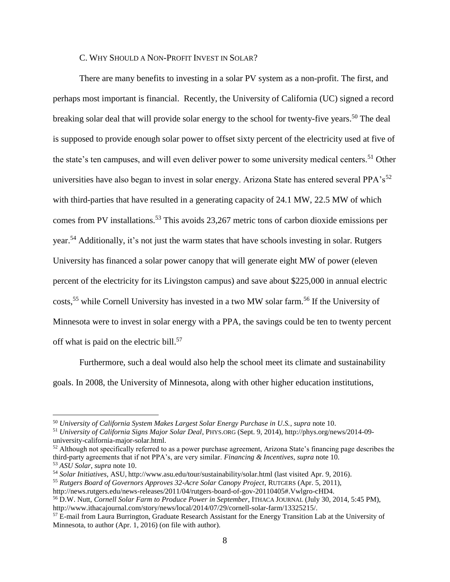### C. WHY SHOULD A NON-PROFIT INVEST IN SOLAR?

There are many benefits to investing in a solar PV system as a non-profit. The first, and perhaps most important is financial. Recently, the University of California (UC) signed a record breaking solar deal that will provide solar energy to the school for twenty-five years.<sup>50</sup> The deal is supposed to provide enough solar power to offset sixty percent of the electricity used at five of the state's ten campuses, and will even deliver power to some university medical centers.<sup>51</sup> Other universities have also began to invest in solar energy. Arizona State has entered several PPA's<sup>52</sup> with third-parties that have resulted in a generating capacity of 24.1 MW, 22.5 MW of which comes from PV installations.<sup>53</sup> This avoids 23,267 metric tons of carbon dioxide emissions per year.<sup>54</sup> Additionally, it's not just the warm states that have schools investing in solar. Rutgers University has financed a solar power canopy that will generate eight MW of power (eleven percent of the electricity for its Livingston campus) and save about \$225,000 in annual electric costs,<sup>55</sup> while Cornell University has invested in a two MW solar farm.<sup>56</sup> If the University of Minnesota were to invest in solar energy with a PPA, the savings could be ten to twenty percent off what is paid on the electric bill.<sup>57</sup>

<span id="page-7-0"></span>Furthermore, such a deal would also help the school meet its climate and sustainability goals. In 2008, the University of Minnesota, along with other higher education institutions,

- <sup>55</sup> *Rutgers Board of Governors Approves 32-Acre Solar Canopy Project*, RUTGERS (Apr. 5, 2011),
- http://news.rutgers.edu/news-releases/2011/04/rutgers-board-of-gov-20110405#.Vwlgro-cHD4.

<sup>50</sup> *University of California System Makes Largest Solar Energy Purchase in U.S.*, *supra* note [10.](#page-1-0)

<sup>51</sup> *University of California Signs Major Solar Deal*, PHYS.ORG (Sept. 9, 2014), http://phys.org/news/2014-09 university-california-major-solar.html.

<sup>&</sup>lt;sup>52</sup> Although not specifically referred to as a power purchase agreement, Arizona State's financing page describes the third-party agreements that if not PPA's, are very similar. *Financing & Incentives*, *supra* not[e 10.](#page-1-0) <sup>53</sup> *ASU Solar*, *supra* not[e 10.](#page-1-0)

<sup>54</sup> *Solar Initiatives*, ASU, http://www.asu.edu/tour/sustainability/solar.html (last visited Apr. 9, 2016).

<sup>56</sup> D.W. Nutt, *Cornell Solar Farm to Produce Power in September*, ITHACA JOURNAL (July 30, 2014, 5:45 PM), http://www.ithacajournal.com/story/news/local/2014/07/29/cornell-solar-farm/13325215/.

<sup>57</sup> E-mail from Laura Burrington, Graduate Research Assistant for the Energy Transition Lab at the University of Minnesota, to author (Apr. 1, 2016) (on file with author).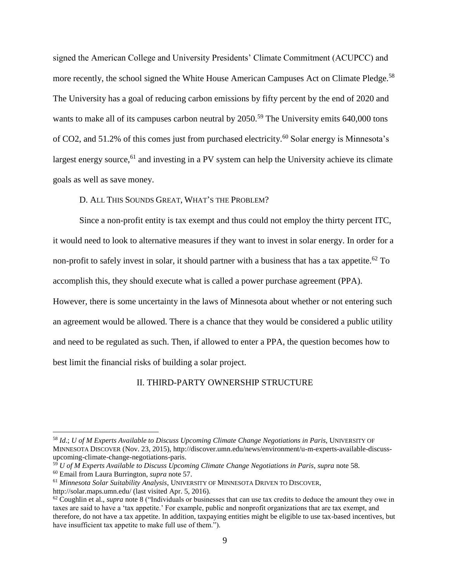signed the American College and University Presidents' Climate Commitment (ACUPCC) and more recently, the school signed the White House American Campuses Act on Climate Pledge.<sup>58</sup> The University has a goal of reducing carbon emissions by fifty percent by the end of 2020 and wants to make all of its campuses carbon neutral by  $2050$ .<sup>59</sup> The University emits 640,000 tons of CO2, and 51.2% of this comes just from purchased electricity.<sup>60</sup> Solar energy is Minnesota's largest energy source,  $61$  and investing in a PV system can help the University achieve its climate goals as well as save money.

### <span id="page-8-0"></span>D. ALL THIS SOUNDS GREAT, WHAT'S THE PROBLEM?

Since a non-profit entity is tax exempt and thus could not employ the thirty percent ITC, it would need to look to alternative measures if they want to invest in solar energy. In order for a non-profit to safely invest in solar, it should partner with a business that has a tax appetite.<sup>62</sup> To accomplish this, they should execute what is called a power purchase agreement (PPA). However, there is some uncertainty in the laws of Minnesota about whether or not entering such an agreement would be allowed. There is a chance that they would be considered a public utility and need to be regulated as such. Then, if allowed to enter a PPA, the question becomes how to

best limit the financial risks of building a solar project.

### II. THIRD-PARTY OWNERSHIP STRUCTURE

 $\overline{a}$ 

http://solar.maps.umn.edu/ (last visited Apr. 5, 2016).

<sup>58</sup> *Id*.; *U of M Experts Available to Discuss Upcoming Climate Change Negotiations in Paris*, UNIVERSITY OF MINNESOTA DISCOVER (Nov. 23, 2015), http://discover.umn.edu/news/environment/u-m-experts-available-discussupcoming-climate-change-negotiations-paris.

<sup>59</sup> *U of M Experts Available to Discuss Upcoming Climate Change Negotiations in Paris*, *supra* note [58.](#page-8-0)

<sup>60</sup> Email from Laura Burrington, *supra* note [57.](#page-7-0)

<sup>61</sup> *Minnesota Solar Suitability Analysis*, UNIVERSITY OF MINNESOTA DRIVEN TO DISCOVER,

<sup>62</sup> Coughlin et al., *supra* note [8](#page-1-1) ("Individuals or businesses that can use tax credits to deduce the amount they owe in taxes are said to have a 'tax appetite.' For example, public and nonprofit organizations that are tax exempt, and therefore, do not have a tax appetite. In addition, taxpaying entities might be eligible to use tax-based incentives, but have insufficient tax appetite to make full use of them.").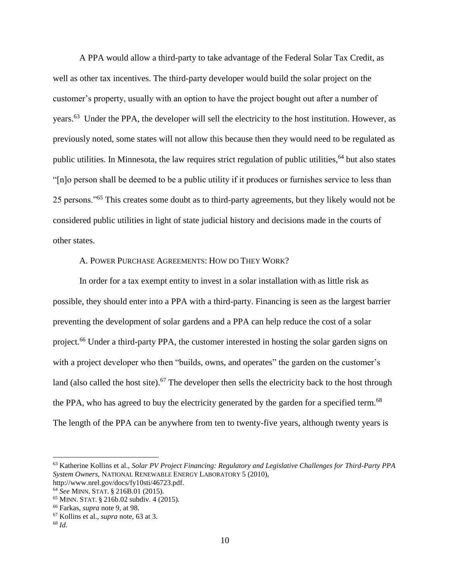<span id="page-9-0"></span>A PPA would allow a third-party to take advantage of the Federal Solar Tax Credit, as well as other tax incentives. The third-party developer would build the solar project on the customer's property, usually with an option to have the project bought out after a number of years.<sup>63</sup> Under the PPA, the developer will sell the electricity to the host institution. However, as previously noted, some states will not allow this because then they would need to be regulated as public utilities. In Minnesota, the law requires strict regulation of public utilities,<sup>64</sup> but also states "[n]o person shall be deemed to be a public utility if it produces or furnishes service to less than 25 persons."<sup>65</sup> This creates some doubt as to third-party agreements, but they likely would not be considered public utilities in light of state judicial history and decisions made in the courts of other states.

### A. POWER PURCHASE AGREEMENTS: HOW DO THEY WORK?

In order for a tax exempt entity to invest in a solar installation with as little risk as possible, they should enter into a PPA with a third-party. Financing is seen as the largest barrier preventing the development of solar gardens and a PPA can help reduce the cost of a solar project.<sup>66</sup> Under a third-party PPA, the customer interested in hosting the solar garden signs on with a project developer who then "builds, owns, and operates" the garden on the customer's land (also called the host site).<sup>67</sup> The developer then sells the electricity back to the host through the PPA, who has agreed to buy the electricity generated by the garden for a specified term.<sup>68</sup> The length of the PPA can be anywhere from ten to twenty-five years, although twenty years is

<sup>63</sup> Katherine Kollins et al., *Solar PV Project Financing: Regulatory and Legislative Challenges for Third-Party PPA System Owners,* NATIONAL RENEWABLE ENERGY LABORATORY 5 (2010),

http://www.nrel.gov/docs/fy10sti/46723.pdf.

<sup>64</sup> *See* MINN. STAT. § 216B.01 (2015).

<sup>65</sup> MINN. STAT. § 216b.02 subdiv. 4 (2015).

<sup>66</sup> Farkas, *supra* not[e 9,](#page-1-2) at 98.

<sup>67</sup> Kollins et al., *supra* note, [63](#page-9-0) at 3.

<sup>68</sup> *Id.*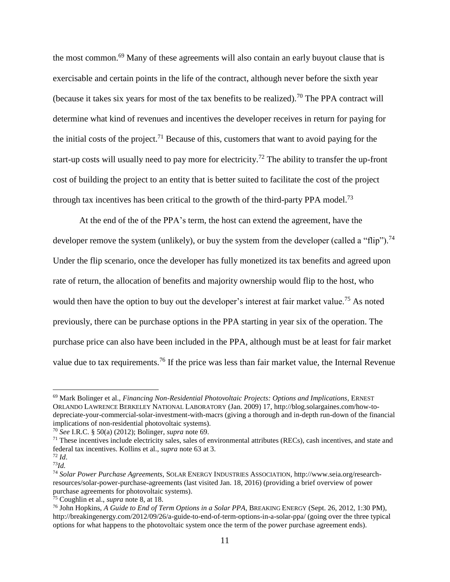<span id="page-10-0"></span>the most common.<sup>69</sup> Many of these agreements will also contain an early buyout clause that is exercisable and certain points in the life of the contract, although never before the sixth year (because it takes six years for most of the tax benefits to be realized).<sup>70</sup> The PPA contract will determine what kind of revenues and incentives the developer receives in return for paying for the initial costs of the project.<sup>71</sup> Because of this, customers that want to avoid paying for the start-up costs will usually need to pay more for electricity.<sup>72</sup> The ability to transfer the up-front cost of building the project to an entity that is better suited to facilitate the cost of the project through tax incentives has been critical to the growth of the third-party PPA model.<sup>73</sup>

At the end of the of the PPA's term, the host can extend the agreement, have the developer remove the system (unlikely), or buy the system from the developer (called a "flip").<sup>74</sup> Under the flip scenario, once the developer has fully monetized its tax benefits and agreed upon rate of return, the allocation of benefits and majority ownership would flip to the host, who would then have the option to buy out the developer's interest at fair market value.<sup>75</sup> As noted previously, there can be purchase options in the PPA starting in year six of the operation. The purchase price can also have been included in the PPA, although must be at least for fair market value due to tax requirements.<sup>76</sup> If the price was less than fair market value, the Internal Revenue

<span id="page-10-1"></span><sup>69</sup> Mark Bolinger et al., *Financing Non-Residential Photovoltaic Projects: Options and Implications*, ERNEST ORLANDO LAWRENCE BERKELEY NATIONAL LABORATORY (Jan. 2009) 17, http://blog.solargaines.com/how-todepreciate-your-commercial-solar-investment-with-macrs (giving a thorough and in-depth run-down of the financial implications of non-residential photovoltaic systems).

<sup>70</sup> *See* I.R.C. § 50(a) (2012); Bolinger, *supra* note [69.](#page-10-0)

 $71$  These incentives include electricity sales, sales of environmental attributes (RECs), cash incentives, and state and federal tax incentives. Kollins et al., *supra* note [63](#page-9-0) at 3.

<sup>72</sup> *Id*.

<sup>73</sup>*Id.*

<sup>74</sup> *Solar Power Purchase Agreements*, SOLAR ENERGY INDUSTRIES ASSOCIATION, http://www.seia.org/researchresources/solar-power-purchase-agreements (last visited Jan. 18, 2016) (providing a brief overview of power purchase agreements for photovoltaic systems).

<sup>75</sup> Coughlin et al., *supra* note [8,](#page-1-1) at 18.

<sup>76</sup> John Hopkins, *A Guide to End of Term Options in a Solar PPA*, BREAKING ENERGY (Sept. 26, 2012, 1:30 PM), http://breakingenergy.com/2012/09/26/a-guide-to-end-of-term-options-in-a-solar-ppa/ (going over the three typical options for what happens to the photovoltaic system once the term of the power purchase agreement ends).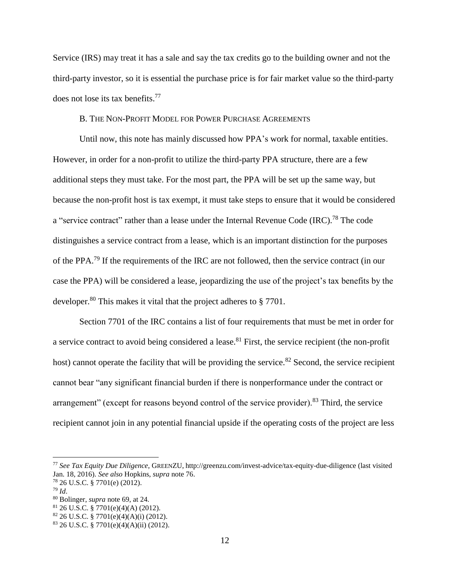Service (IRS) may treat it has a sale and say the tax credits go to the building owner and not the third-party investor, so it is essential the purchase price is for fair market value so the third-party does not lose its tax benefits. 77

### B. THE NON-PROFIT MODEL FOR POWER PURCHASE AGREEMENTS

Until now, this note has mainly discussed how PPA's work for normal, taxable entities. However, in order for a non-profit to utilize the third-party PPA structure, there are a few additional steps they must take. For the most part, the PPA will be set up the same way, but because the non-profit host is tax exempt, it must take steps to ensure that it would be considered a "service contract" rather than a lease under the Internal Revenue Code (IRC).<sup>78</sup> The code distinguishes a service contract from a lease, which is an important distinction for the purposes of the PPA.<sup>79</sup> If the requirements of the IRC are not followed, then the service contract (in our case the PPA) will be considered a lease, jeopardizing the use of the project's tax benefits by the developer.<sup>80</sup> This makes it vital that the project adheres to  $\S 7701$ .

Section 7701 of the IRC contains a list of four requirements that must be met in order for a service contract to avoid being considered a lease.<sup>81</sup> First, the service recipient (the non-profit host) cannot operate the facility that will be providing the service.<sup>82</sup> Second, the service recipient cannot bear "any significant financial burden if there is nonperformance under the contract or arrangement" (except for reasons beyond control of the service provider).<sup>83</sup> Third, the service recipient cannot join in any potential financial upside if the operating costs of the project are less

<sup>77</sup> *See Tax Equity Due Diligence*, GREENZU, http://greenzu.com/invest-advice/tax-equity-due-diligence (last visited Jan. 18, 2016). *See also* Hopkins, *supra* note [76.](#page-10-1)

<sup>78</sup> 26 U.S.C. § 7701(e) (2012).

<sup>79</sup> *Id*.

<sup>80</sup> Bolinger, *supra* note [69,](#page-10-0) at 24.

 $81$  26 U.S.C.  $\frac{2}{3}$  7701(e)(4)(A) (2012).

 $82$  26 U.S.C. § 7701(e)(4)(A)(i) (2012).

 $83$  26 U.S.C. § 7701(e)(4)(A)(ii) (2012).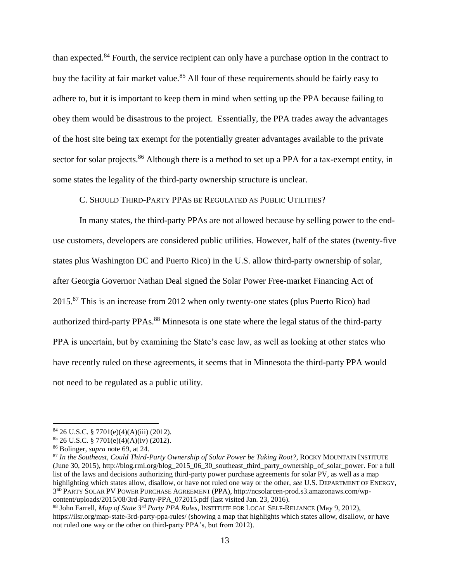than expected.<sup>84</sup> Fourth, the service recipient can only have a purchase option in the contract to buy the facility at fair market value.<sup>85</sup> All four of these requirements should be fairly easy to adhere to, but it is important to keep them in mind when setting up the PPA because failing to obey them would be disastrous to the project. Essentially, the PPA trades away the advantages of the host site being tax exempt for the potentially greater advantages available to the private sector for solar projects.<sup>86</sup> Although there is a method to set up a PPA for a tax-exempt entity, in some states the legality of the third-party ownership structure is unclear.

### C. SHOULD THIRD-PARTY PPAS BE REGULATED AS PUBLIC UTILITIES?

In many states, the third-party PPAs are not allowed because by selling power to the enduse customers, developers are considered public utilities. However, half of the states (twenty-five states plus Washington DC and Puerto Rico) in the U.S. allow third-party ownership of solar, after Georgia Governor Nathan Deal signed the Solar Power Free-market Financing Act of 2015.<sup>87</sup> This is an increase from 2012 when only twenty-one states (plus Puerto Rico) had authorized third-party PPAs.<sup>88</sup> Minnesota is one state where the legal status of the third-party PPA is uncertain, but by examining the State's case law, as well as looking at other states who have recently ruled on these agreements, it seems that in Minnesota the third-party PPA would not need to be regulated as a public utility.

<sup>84</sup> 26 U.S.C. § 7701(e)(4)(A)(iii) (2012).

 $85$  26 U.S.C. § 7701(e)(4)(A)(iv) (2012).

<sup>86</sup> Bolinger, *supra* note [69,](#page-10-0) at 24.

<sup>87</sup> *In the Southeast, Could Third-Party Ownership of Solar Power be Taking Root?*, ROCKY MOUNTAIN INSTITUTE (June 30, 2015), http://blog.rmi.org/blog\_2015\_06\_30\_southeast\_third\_party\_ownership\_of\_solar\_power. For a full list of the laws and decisions authorizing third-party power purchase agreements for solar PV, as well as a map highlighting which states allow, disallow, or have not ruled one way or the other, *see* U.S. DEPARTMENT OF ENERGY, 3 RD PARTY SOLAR PV POWER PURCHASE AGREEMENT (PPA), http://ncsolarcen-prod.s3.amazonaws.com/wpcontent/uploads/2015/08/3rd-Party-PPA\_072015.pdf (last visited Jan. 23, 2016).

<sup>88</sup> John Farrell, *Map of State 3rd Party PPA Rules*, INSTITUTE FOR LOCAL SELF-RELIANCE (May 9, 2012), https://ilsr.org/map-state-3rd-party-ppa-rules/ (showing a map that highlights which states allow, disallow, or have not ruled one way or the other on third-party PPA's, but from 2012).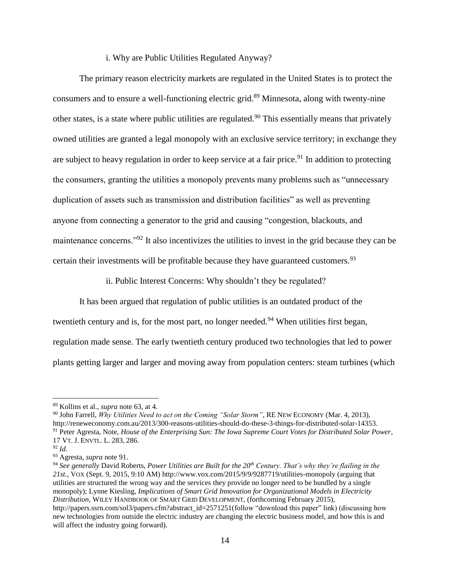## <span id="page-13-0"></span>i. Why are Public Utilities Regulated Anyway?

The primary reason electricity markets are regulated in the United States is to protect the consumers and to ensure a well-functioning electric grid.<sup>89</sup> Minnesota, along with twenty-nine other states, is a state where public utilities are regulated.<sup>90</sup> This essentially means that privately owned utilities are granted a legal monopoly with an exclusive service territory; in exchange they are subject to heavy regulation in order to keep service at a fair price.<sup>91</sup> In addition to protecting the consumers, granting the utilities a monopoly prevents many problems such as "unnecessary duplication of assets such as transmission and distribution facilities" as well as preventing anyone from connecting a generator to the grid and causing "congestion, blackouts, and maintenance concerns."<sup>92</sup> It also incentivizes the utilities to invest in the grid because they can be certain their investments will be profitable because they have guaranteed customers.<sup>93</sup>

<span id="page-13-1"></span>ii. Public Interest Concerns: Why shouldn't they be regulated?

It has been argued that regulation of public utilities is an outdated product of the

twentieth century and is, for the most part, no longer needed.<sup>94</sup> When utilities first began,

regulation made sense. The early twentieth century produced two technologies that led to power

plants getting larger and larger and moving away from population centers: steam turbines (which

<sup>89</sup> Kollins et al., *supra* note [63,](#page-9-0) at 4.

<sup>90</sup> John Farrell, *Why Utilities Need to act on the Coming "Solar Storm"*, RE NEW ECONOMY (Mar. 4, 2013), http://reneweconomy.com.au/2013/300-reasons-utilities-should-do-these-3-things-for-distributed-solar-14353. <sup>91</sup> Peter Agresta, Note, *House of the Enterprising Sun: The Iowa Supreme Court Votes for Distributed Solar Power*, 17 VT. J. ENVTL. L. 283, 286.

<sup>92</sup> *Id*.

<sup>93</sup> Agresta, *supra* note [91.](#page-13-0)

<sup>94</sup> *See generally* David Roberts, *Power Utilities are Built for the 20th Century. That's why they're flailing in the 21st.*, VOX (Sept. 9, 2015, 9:10 AM) http://www.vox.com/2015/9/9/9287719/utilities-monopoly (arguing that utilities are structured the wrong way and the services they provide no longer need to be bundled by a single monopoly); Lynne Kiesling, *Implications of Smart Grid Innovation for Organizational Models in Electricity Distribution*, WILEY HANDBOOK OF SMART GRID DEVELOPMENT, (forthcoming February 2015), http://papers.ssrn.com/sol3/papers.cfm?abstract\_id=2571251(follow "download this paper" link) (discussing how new technologies from outside the electric industry are changing the electric business model, and how this is and

will affect the industry going forward).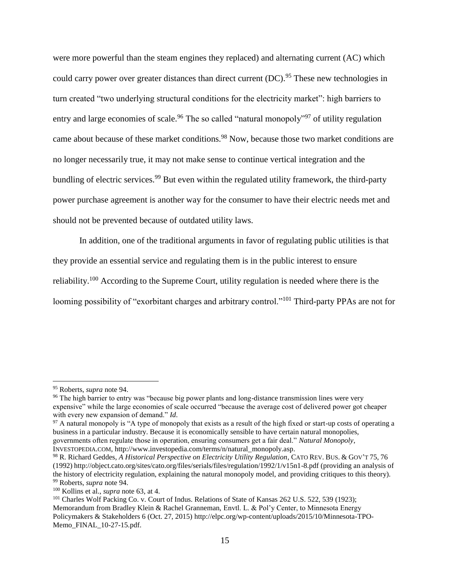were more powerful than the steam engines they replaced) and alternating current (AC) which could carry power over greater distances than direct current (DC).<sup>95</sup> These new technologies in turn created "two underlying structural conditions for the electricity market": high barriers to entry and large economies of scale.<sup>96</sup> The so called "natural monopoly"<sup>97</sup> of utility regulation came about because of these market conditions.<sup>98</sup> Now, because those two market conditions are no longer necessarily true, it may not make sense to continue vertical integration and the bundling of electric services.<sup>99</sup> But even within the regulated utility framework, the third-party power purchase agreement is another way for the consumer to have their electric needs met and should not be prevented because of outdated utility laws.

<span id="page-14-0"></span>In addition, one of the traditional arguments in favor of regulating public utilities is that they provide an essential service and regulating them is in the public interest to ensure reliability.<sup>100</sup> According to the Supreme Court, utility regulation is needed where there is the looming possibility of "exorbitant charges and arbitrary control."<sup>101</sup> Third-party PPAs are not for

 $\overline{a}$ 

<sup>97</sup> A natural monopoly is "A type of monopoly that exists as a result of the high fixed or start-up costs of operating a business in a particular industry. Because it is economically sensible to have certain natural monopolies, governments often regulate those in operation, ensuring consumers get a fair deal." *Natural Monopoly*,

INVESTOPEDIA.COM, http://www.investopedia.com/terms/n/natural\_monopoly.asp.

<sup>95</sup> Roberts, *supra* note [94.](#page-13-1)

<sup>&</sup>lt;sup>96</sup> The high barrier to entry was "because big power plants and long-distance transmission lines were very expensive" while the large economies of scale occurred "because the average cost of delivered power got cheaper with every new expansion of demand." *Id*.

<sup>98</sup> R. Richard Geddes, *A Historical Perspective on Electricity Utility Regulation*, CATO REV. BUS. & GOV'T 75, 76 (1992) http://object.cato.org/sites/cato.org/files/serials/files/regulation/1992/1/v15n1-8.pdf (providing an analysis of the history of electricity regulation, explaining the natural monopoly model, and providing critiques to this theory). <sup>99</sup> Roberts, *supra* note [94.](#page-13-1)

<sup>100</sup> Kollins et al., *supra* not[e 63,](#page-9-0) at 4.

<sup>101</sup> Charles Wolf Packing Co. v. Court of Indus. Relations of State of Kansas 262 U.S. 522, 539 (1923); Memorandum from Bradley Klein & Rachel Granneman, Envtl. L. & Pol'y Center, to Minnesota Energy Policymakers & Stakeholders 6 (Oct. 27, 2015) http://elpc.org/wp-content/uploads/2015/10/Minnesota-TPO-Memo\_FINAL\_10-27-15.pdf.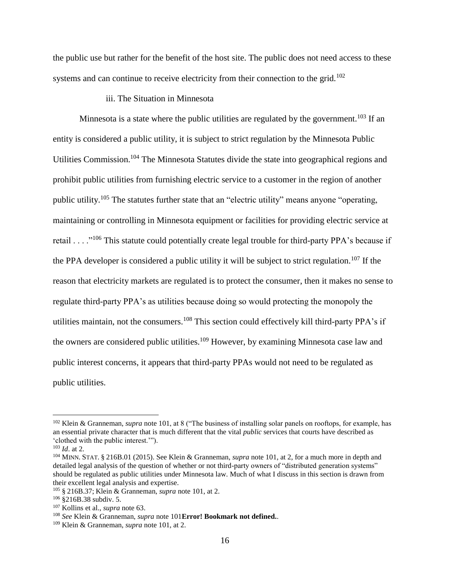the public use but rather for the benefit of the host site. The public does not need access to these systems and can continue to receive electricity from their connection to the grid.<sup>102</sup>

# iii. The Situation in Minnesota

Minnesota is a state where the public utilities are regulated by the government.<sup>103</sup> If an entity is considered a public utility, it is subject to strict regulation by the Minnesota Public Utilities Commission.<sup>104</sup> The Minnesota Statutes divide the state into geographical regions and prohibit public utilities from furnishing electric service to a customer in the region of another public utility.<sup>105</sup> The statutes further state that an "electric utility" means anyone "operating, maintaining or controlling in Minnesota equipment or facilities for providing electric service at retail . . . ."<sup>106</sup> This statute could potentially create legal trouble for third-party PPA's because if the PPA developer is considered a public utility it will be subject to strict regulation.<sup>107</sup> If the reason that electricity markets are regulated is to protect the consumer, then it makes no sense to regulate third-party PPA's as utilities because doing so would protecting the monopoly the utilities maintain, not the consumers.<sup>108</sup> This section could effectively kill third-party PPA's if the owners are considered public utilities.<sup>109</sup> However, by examining Minnesota case law and public interest concerns, it appears that third-party PPAs would not need to be regulated as public utilities.

<sup>&</sup>lt;sup>102</sup> Klein & Granneman, *supra* note [101,](#page-14-0) at 8 ("The business of installing solar panels on rooftops, for example, has an essential private character that is much different that the vital *public* services that courts have described as 'clothed with the public interest.'").

<sup>103</sup> *Id*. at 2.

<sup>104</sup> MINN. STAT. § 216B.01 (2015). See Klein & Granneman, *supra* note [101,](#page-14-0) at 2, for a much more in depth and detailed legal analysis of the question of whether or not third-party owners of "distributed generation systems" should be regulated as public utilities under Minnesota law. Much of what I discuss in this section is drawn from their excellent legal analysis and expertise.

<sup>105</sup> § 216B.37; Klein & Granneman, *supra* note [101,](#page-14-0) at 2.

<sup>106</sup> §216B.38 subdiv. 5.

<sup>107</sup> Kollins et al., *supra* not[e 63.](#page-9-0)

<sup>108</sup> *See* Klein & Granneman, *supra* note [101](#page-14-0)**[Error! Bookmark not defined.](#page-14-0)**.

<sup>109</sup> Klein & Granneman, *supra* note [101,](#page-14-0) at 2.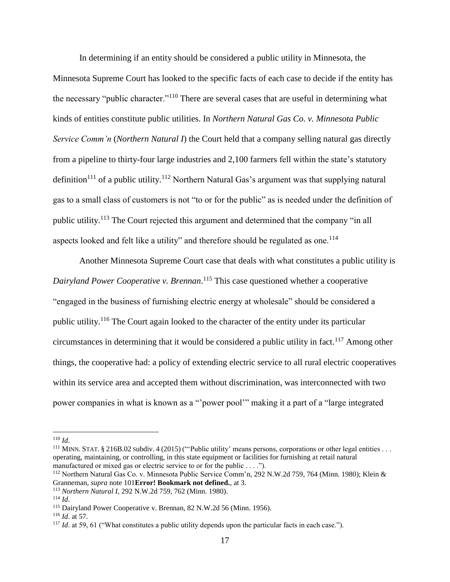<span id="page-16-0"></span>In determining if an entity should be considered a public utility in Minnesota, the Minnesota Supreme Court has looked to the specific facts of each case to decide if the entity has the necessary "public character."<sup>110</sup> There are several cases that are useful in determining what kinds of entities constitute public utilities. In *Northern Natural Gas Co. v. Minnesota Public Service Comm'n* (*Northern Natural I*) the Court held that a company selling natural gas directly from a pipeline to thirty-four large industries and 2,100 farmers fell within the state's statutory definition<sup>111</sup> of a public utility.<sup>112</sup> Northern Natural Gas's argument was that supplying natural gas to a small class of customers is not "to or for the public" as is needed under the definition of public utility.<sup>113</sup> The Court rejected this argument and determined that the company "in all aspects looked and felt like a utility" and therefore should be regulated as one.<sup>114</sup>

Another Minnesota Supreme Court case that deals with what constitutes a public utility is *Dairyland Power Cooperative v. Brennan*. <sup>115</sup> This case questioned whether a cooperative "engaged in the business of furnishing electric energy at wholesale" should be considered a public utility.<sup>116</sup> The Court again looked to the character of the entity under its particular circumstances in determining that it would be considered a public utility in fact.<sup>117</sup> Among other things, the cooperative had: a policy of extending electric service to all rural electric cooperatives within its service area and accepted them without discrimination, was interconnected with two power companies in what is known as a "'power pool'" making it a part of a "large integrated

<sup>110</sup> *Id*.

<sup>&</sup>lt;sup>111</sup> MINN. STAT. § 216B.02 subdiv. 4 (2015) ("Public utility' means persons, corporations or other legal entities . . . operating, maintaining, or controlling, in this state equipment or facilities for furnishing at retail natural manufactured or mixed gas or electric service to or for the public . . . .").

<sup>112</sup> Northern Natural Gas Co. v. Minnesota Public Service Comm'n, 292 N.W.2d 759, 764 (Minn. 1980); Klein & Granneman, *supra* not[e 101](#page-14-0)**[Error! Bookmark not defined.](#page-14-0)**, at 3.

<sup>113</sup> *Northern Natural I*, 292 N.W.2d 759, 762 (Minn. 1980).

<sup>114</sup> *Id*.

<sup>115</sup> Dairyland Power Cooperative v. Brennan, 82 N.W.2d 56 (Minn. 1956).

<sup>116</sup> *Id*. at 57.

<sup>&</sup>lt;sup>117</sup> *Id.* at 59, 61 ("What constitutes a public utility depends upon the particular facts in each case.").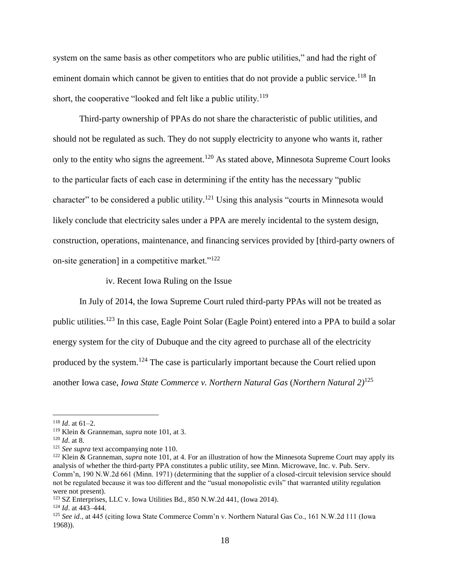system on the same basis as other competitors who are public utilities," and had the right of eminent domain which cannot be given to entities that do not provide a public service.<sup>118</sup> In short, the cooperative "looked and felt like a public utility.<sup>119</sup>

Third-party ownership of PPAs do not share the characteristic of public utilities, and should not be regulated as such. They do not supply electricity to anyone who wants it, rather only to the entity who signs the agreement.<sup>120</sup> As stated above, Minnesota Supreme Court looks to the particular facts of each case in determining if the entity has the necessary "public character" to be considered a public utility.<sup>121</sup> Using this analysis "courts in Minnesota would likely conclude that electricity sales under a PPA are merely incidental to the system design, construction, operations, maintenance, and financing services provided by [third-party owners of on-site generation] in a competitive market."<sup>122</sup>

iv. Recent Iowa Ruling on the Issue

In July of 2014, the Iowa Supreme Court ruled third-party PPAs will not be treated as public utilities.<sup>123</sup> In this case, Eagle Point Solar (Eagle Point) entered into a PPA to build a solar energy system for the city of Dubuque and the city agreed to purchase all of the electricity produced by the system.<sup>124</sup> The case is particularly important because the Court relied upon another Iowa case, *Iowa State Commerce v. Northern Natural Gas* (*Northern Natural 2)*<sup>125</sup>

<sup>118</sup> *Id*. at 61–2.

<sup>119</sup> Klein & Granneman, *supra* note [101,](#page-14-0) at 3.

<sup>120</sup> *Id*. at 8.

<sup>&</sup>lt;sup>121</sup> *See supra* text accompanying note [110.](#page-16-0)

<sup>&</sup>lt;sup>122</sup> Klein & Granneman, *supra* note [101,](#page-14-0) at 4. For an illustration of how the Minnesota Supreme Court may apply its analysis of whether the third-party PPA constitutes a public utility, see Minn. Microwave, Inc. v. Pub. Serv. Comm'n, 190 N.W.2d 661 (Minn. 1971) (determining that the supplier of a closed-circuit television service should not be regulated because it was too different and the "usual monopolistic evils" that warranted utility regulation were not present).

<sup>123</sup> SZ Enterprises, LLC v. Iowa Utilities Bd., 850 N.W.2d 441, (Iowa 2014).

<sup>124</sup> *Id*. at 443–444.

<sup>125</sup> *See id*., at 445 (citing Iowa State Commerce Comm'n v. Northern Natural Gas Co., 161 N.W.2d 111 (Iowa 1968)).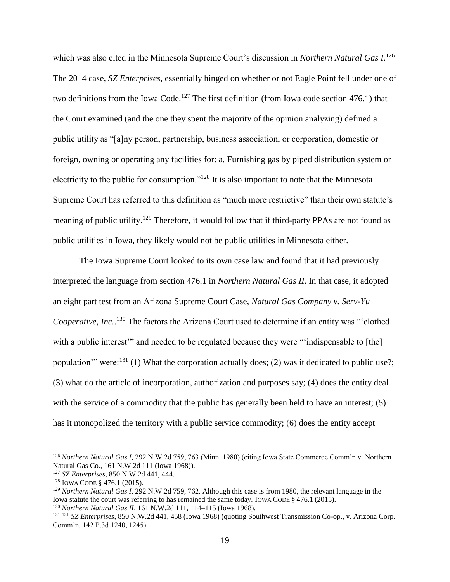which was also cited in the Minnesota Supreme Court's discussion in *Northern Natural Gas I*. 126 The 2014 case, *SZ Enterprises*, essentially hinged on whether or not Eagle Point fell under one of two definitions from the Iowa Code.<sup>127</sup> The first definition (from Iowa code section 476.1) that the Court examined (and the one they spent the majority of the opinion analyzing) defined a public utility as "[a]ny person, partnership, business association, or corporation, domestic or foreign, owning or operating any facilities for: a. Furnishing gas by piped distribution system or electricity to the public for consumption."<sup>128</sup> It is also important to note that the Minnesota Supreme Court has referred to this definition as "much more restrictive" than their own statute's meaning of public utility.<sup>129</sup> Therefore, it would follow that if third-party PPAs are not found as public utilities in Iowa, they likely would not be public utilities in Minnesota either.

The Iowa Supreme Court looked to its own case law and found that it had previously interpreted the language from section 476.1 in *Northern Natural Gas II*. In that case, it adopted an eight part test from an Arizona Supreme Court Case, *Natural Gas Company v. Serv-Yu Cooperative, Inc.*. <sup>130</sup> The factors the Arizona Court used to determine if an entity was "'clothed with a public interest" and needed to be regulated because they were "indispensable to [the] population'" were:<sup>131</sup> (1) What the corporation actually does; (2) was it dedicated to public use?; (3) what do the article of incorporation, authorization and purposes say; (4) does the entity deal with the service of a commodity that the public has generally been held to have an interest; (5) has it monopolized the territory with a public service commodity; (6) does the entity accept

<sup>126</sup> *Northern Natural Gas I*, 292 N.W.2d 759, 763 (Minn. 1980) (citing Iowa State Commerce Comm'n v. Northern Natural Gas Co., 161 N.W.2d 111 (Iowa 1968)).

<sup>127</sup> *SZ Enterprises*, 850 N.W.2d 441, 444.

<sup>128</sup> IOWA CODE § 476.1 (2015).

<sup>129</sup> *Northern Natural Gas I*, 292 N.W.2d 759, 762. Although this case is from 1980, the relevant language in the Iowa statute the court was referring to has remained the same today. IOWA CODE § 476.1 (2015). <sup>130</sup> *Northern Natural Gas II*, 161 N.W.2d 111, 114–115 (Iowa 1968).

<sup>131</sup> <sup>131</sup> *SZ Enterprises*, 850 N.W.2d 441, 458 (Iowa 1968) (quoting Southwest Transmission Co-op., v. Arizona Corp. Comm'n, 142 P.3d 1240, 1245).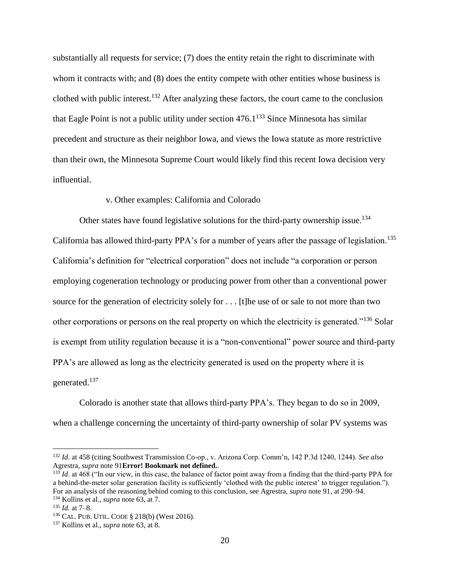substantially all requests for service; (7) does the entity retain the right to discriminate with whom it contracts with; and (8) does the entity compete with other entities whose business is clothed with public interest.<sup>132</sup> After analyzing these factors, the court came to the conclusion that Eagle Point is not a public utility under section  $476.1<sup>133</sup>$  Since Minnesota has similar precedent and structure as their neighbor Iowa, and views the Iowa statute as more restrictive than their own, the Minnesota Supreme Court would likely find this recent Iowa decision very influential.

### v. Other examples: California and Colorado

Other states have found legislative solutions for the third-party ownership issue.<sup>134</sup> California has allowed third-party PPA's for a number of years after the passage of legislation.<sup>135</sup> California's definition for "electrical corporation" does not include "a corporation or person employing cogeneration technology or producing power from other than a conventional power source for the generation of electricity solely for . . . [t]he use of or sale to not more than two other corporations or persons on the real property on which the electricity is generated."<sup>136</sup> Solar is exempt from utility regulation because it is a "non-conventional" power source and third-party PPA's are allowed as long as the electricity generated is used on the property where it is generated.<sup>137</sup>

Colorado is another state that allows third-party PPA's. They began to do so in 2009, when a challenge concerning the uncertainty of third-party ownership of solar PV systems was

<sup>132</sup> *Id.* at 458 (citing Southwest Transmission Co-op., v. Arizona Corp. Comm'n, 142 P.3d 1240, 1244). *See also*  Agrestra, *supra* note [91](#page-13-0)**[Error! Bookmark not defined.](#page-13-0)**.

 $^{133}$  *Id*. at 468 ("In our view, in this case, the balance of factor point away from a finding that the third-party PPA for a behind-the-meter solar generation facility is sufficiently 'clothed with the public interest' to trigger regulation."). For an analysis of the reasoning behind coming to this conclusion, see Agrestra, *supra* note [91,](#page-13-0) at 290–94. <sup>134</sup> Kollins et al., *supra* not[e 63,](#page-9-0) at 7.

<sup>135</sup> *Id.* at 7–8.

<sup>136</sup> CAL. PUB. UTIL. CODE § 218(b) (West 2016).

<sup>137</sup> Kollins et al., *supra* not[e 63,](#page-9-0) at 8.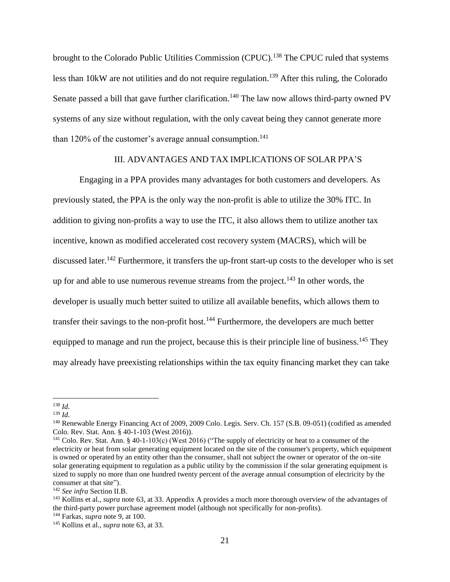brought to the Colorado Public Utilities Commission (CPUC).<sup>138</sup> The CPUC ruled that systems less than 10kW are not utilities and do not require regulation.<sup>139</sup> After this ruling, the Colorado Senate passed a bill that gave further clarification.<sup>140</sup> The law now allows third-party owned PV systems of any size without regulation, with the only caveat being they cannot generate more than 120% of the customer's average annual consumption.<sup>141</sup>

## III. ADVANTAGES AND TAX IMPLICATIONS OF SOLAR PPA'S

Engaging in a PPA provides many advantages for both customers and developers. As previously stated, the PPA is the only way the non-profit is able to utilize the 30% ITC. In addition to giving non-profits a way to use the ITC, it also allows them to utilize another tax incentive, known as modified accelerated cost recovery system (MACRS), which will be discussed later.<sup>142</sup> Furthermore, it transfers the up-front start-up costs to the developer who is set up for and able to use numerous revenue streams from the project.<sup>143</sup> In other words, the developer is usually much better suited to utilize all available benefits, which allows them to transfer their savings to the non-profit host.<sup>144</sup> Furthermore, the developers are much better equipped to manage and run the project, because this is their principle line of business.<sup>145</sup> They may already have preexisting relationships within the tax equity financing market they can take

<sup>138</sup> *Id.*

<sup>139</sup> *Id.*

<sup>140</sup> Renewable Energy Financing Act of 2009, 2009 Colo. Legis. Serv. Ch. 157 (S.B. 09-051) (codified as amended Colo. Rev. Stat. Ann. § 40-1-103 (West 2016)).

<sup>&</sup>lt;sup>141</sup> Colo. Rev. Stat. Ann. § 40-1-103(c) (West 2016) ("The supply of electricity or heat to a consumer of the electricity or heat from solar generating equipment located on the site of the consumer's property, which equipment is owned or operated by an entity other than the consumer, shall not subject the owner or operator of the on-site solar generating equipment to regulation as a public utility by the commission if the solar generating equipment is sized to supply no more than one hundred twenty percent of the average annual consumption of electricity by the consumer at that site").

<sup>142</sup> *See infra* Section II.B.

<sup>143</sup> Kollins et al., *supra* not[e 63,](#page-9-0) at 33. Appendix A provides a much more thorough overview of the advantages of the third-party power purchase agreement model (although not specifically for non-profits).

<sup>144</sup> Farkas, *supra* note [9,](#page-1-2) at 100.

<sup>145</sup> Kollins et al., *supra* not[e 63,](#page-9-0) at 33.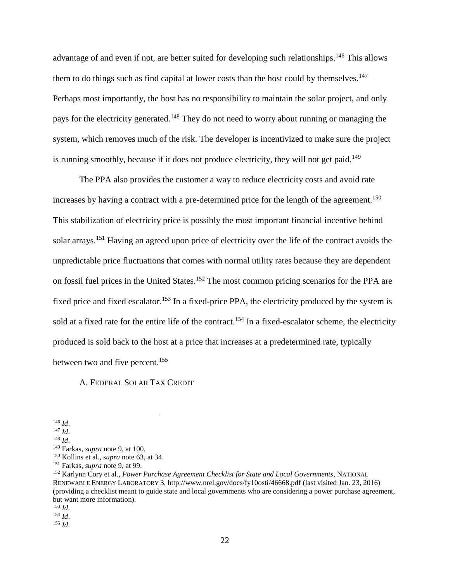advantage of and even if not, are better suited for developing such relationships.<sup>146</sup> This allows them to do things such as find capital at lower costs than the host could by themselves.<sup>147</sup> Perhaps most importantly, the host has no responsibility to maintain the solar project, and only pays for the electricity generated.<sup>148</sup> They do not need to worry about running or managing the system, which removes much of the risk. The developer is incentivized to make sure the project is running smoothly, because if it does not produce electricity, they will not get paid.<sup>149</sup>

The PPA also provides the customer a way to reduce electricity costs and avoid rate increases by having a contract with a pre-determined price for the length of the agreement.<sup>150</sup> This stabilization of electricity price is possibly the most important financial incentive behind solar arrays.<sup>151</sup> Having an agreed upon price of electricity over the life of the contract avoids the unpredictable price fluctuations that comes with normal utility rates because they are dependent on fossil fuel prices in the United States.<sup>152</sup> The most common pricing scenarios for the PPA are fixed price and fixed escalator.<sup>153</sup> In a fixed-price PPA, the electricity produced by the system is sold at a fixed rate for the entire life of the contract.<sup>154</sup> In a fixed-escalator scheme, the electricity produced is sold back to the host at a price that increases at a predetermined rate, typically between two and five percent.<sup>155</sup>

A. FEDERAL SOLAR TAX CREDIT

<sup>153</sup> *Id*.

<sup>155</sup> *Id*.

 $\overline{a}$ <sup>146</sup> *Id*.

<sup>147</sup> *Id*.

<sup>148</sup> *Id*.

<sup>149</sup> Farkas, *supra* note [9,](#page-1-2) at 100.

<sup>150</sup> Kollins et al., *supra* not[e 63,](#page-9-0) at 34.

<sup>151</sup> Farkas, *supra* note [9,](#page-1-2) at 99.

<sup>152</sup> Karlynn Cory et al., *Power Purchase Agreement Checklist for State and Local Governments*, NATIONAL RENEWABLE ENERGY LABORATORY 3, http://www.nrel.gov/docs/fy10osti/46668.pdf (last visited Jan. 23, 2016) (providing a checklist meant to guide state and local governments who are considering a power purchase agreement, but want more information).

<sup>154</sup> *Id*.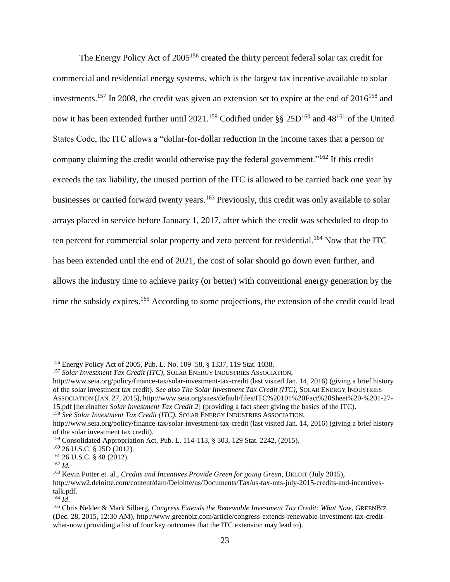The Energy Policy Act of 2005<sup>156</sup> created the thirty percent federal solar tax credit for commercial and residential energy systems, which is the largest tax incentive available to solar investments.<sup>157</sup> In 2008, the credit was given an extension set to expire at the end of  $2016^{158}$  and now it has been extended further until 2021.<sup>159</sup> Codified under §§ 25D<sup>160</sup> and 48<sup>161</sup> of the United States Code, the ITC allows a "dollar-for-dollar reduction in the income taxes that a person or company claiming the credit would otherwise pay the federal government."<sup>162</sup> If this credit exceeds the tax liability, the unused portion of the ITC is allowed to be carried back one year by businesses or carried forward twenty years.<sup>163</sup> Previously, this credit was only available to solar arrays placed in service before January 1, 2017, after which the credit was scheduled to drop to ten percent for commercial solar property and zero percent for residential.<sup>164</sup> Now that the ITC has been extended until the end of 2021, the cost of solar should go down even further, and allows the industry time to achieve parity (or better) with conventional energy generation by the time the subsidy expires.<sup>165</sup> According to some projections, the extension of the credit could lead

<sup>157</sup> *Solar Investment Tax Credit (ITC)*, SOLAR ENERGY INDUSTRIES ASSOCIATION,

<sup>156</sup> Energy Policy Act of 2005, Pub. L. No. 109–58, § 1337, 119 Stat. 1038.

http://www.seia.org/policy/finance-tax/solar-investment-tax-credit (last visited Jan. 14, 2016) (giving a brief history of the solar investment tax credit). *See also The Solar Investment Tax Credit (ITC)*, SOLAR ENERGY INDUSTRIES ASSOCIATION (JAN. 27, 2015), http://www.seia.org/sites/default/files/ITC%20101%20Fact%20Sheet%20-%201-27- 15.pdf [hereinafter *Solar Investment Tax Credit 2*] (providing a fact sheet giving the basics of the ITC).

<sup>158</sup> *See Solar Investment Tax Credit (ITC)*, SOLAR ENERGY INDUSTRIES ASSOCIATION,

http://www.seia.org/policy/finance-tax/solar-investment-tax-credit (last visited Jan. 14, 2016) (giving a brief history of the solar investment tax credit).

<sup>159</sup> Consolidated Appropriation Act, Pub. L. 114-113, § 303, 129 Stat. 2242, (2015).

<sup>160</sup> 26 U.S.C. § 25D (2012).

<sup>161</sup> 26 U.S.C. § 48 (2012).

<sup>162</sup> *Id.*

<sup>163</sup> Kevin Potter et. al., *Credits and Incentives Provide Green for going Green*, DELOIT (July 2015), http://www2.deloitte.com/content/dam/Deloitte/us/Documents/Tax/us-tax-mts-july-2015-credits-and-incentivestalk.pdf.

 $^{164}$  *Id*.

<sup>165</sup> Chris Nelder & Mark Silberg, *Congress Extends the Renewable Investment Tax Credit: What Now*, GREENBIZ (Dec. 28, 2015, 12:30 AM), http://www.greenbiz.com/article/congress-extends-renewable-investment-tax-creditwhat-now (providing a list of four key outcomes that the ITC extension may lead to).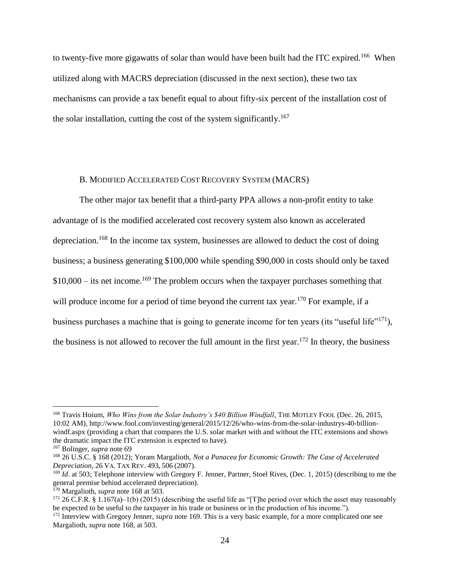to twenty-five more gigawatts of solar than would have been built had the ITC expired.<sup>166</sup> When utilized along with MACRS depreciation (discussed in the next section), these two tax mechanisms can provide a tax benefit equal to about fifty-six percent of the installation cost of the solar installation, cutting the cost of the system significantly.<sup>167</sup>

### <span id="page-23-1"></span>B. MODIFIED ACCELERATED COST RECOVERY SYSTEM (MACRS)

<span id="page-23-0"></span>The other major tax benefit that a third-party PPA allows a non-profit entity to take advantage of is the modified accelerated cost recovery system also known as accelerated depreciation.<sup>168</sup> In the income tax system, businesses are allowed to deduct the cost of doing business; a business generating \$100,000 while spending \$90,000 in costs should only be taxed  $$10,000 -$  its net income.<sup>169</sup> The problem occurs when the taxpayer purchases something that will produce income for a period of time beyond the current tax year.<sup>170</sup> For example, if a business purchases a machine that is going to generate income for ten years (its "useful life"<sup>171</sup>), the business is not allowed to recover the full amount in the first year.<sup>172</sup> In theory, the business

<sup>&</sup>lt;sup>166</sup> Travis Hoium, *Who Wins from the Solar Industry's \$40 Billion Windfall*, THE MOTLEY FOOL (Dec. 26, 2015, 10:02 AM), http://www.fool.com/investing/general/2015/12/26/who-wins-from-the-solar-industrys-40-billionwindf.aspx (providing a chart that compares the U.S. solar market with and without the ITC extensions and shows the dramatic impact the ITC extension is expected to have).

<sup>167</sup> Bolinger, *supra* note [69](#page-10-0)

<sup>168</sup> 26 U.S.C. § 168 (2012); Yoram Margalioth, *Not a Panacea for Economic Growth: The Case of Accelerated Depreciation*, 26 VA. TAX REV. 493, 506 (2007).

<sup>&</sup>lt;sup>169</sup> *Id.* at 503; Telephone interview with Gregory F. Jenner, Partner, Stoel Rives, (Dec. 1, 2015) (describing to me the general premise behind accelerated depreciation).

<sup>170</sup> Margalioth, *supra* not[e 168](#page-23-0) at 503.

<sup>&</sup>lt;sup>171</sup> 26 C.F.R. § 1.167(a)–1(b) (2015) (describing the useful life as "[T]he period over which the asset may reasonably be expected to be useful to the taxpayer in his trade or business or in the production of his income.").

<sup>172</sup> Interview with Gregory Jenner, *supra* note [169.](#page-23-1) This is a very basic example, for a more complicated one see Margalioth, *supra* note [168,](#page-23-0) at 503.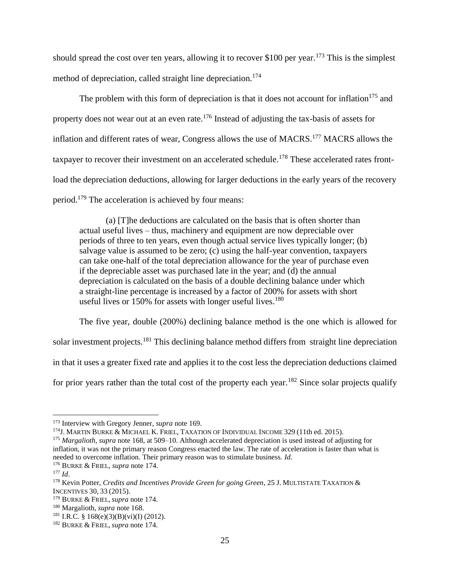should spread the cost over ten years, allowing it to recover \$100 per year.<sup>173</sup> This is the simplest method of depreciation, called straight line depreciation.<sup>174</sup>

<span id="page-24-0"></span>The problem with this form of depreciation is that it does not account for inflation<sup>175</sup> and property does not wear out at an even rate.<sup>176</sup> Instead of adjusting the tax-basis of assets for inflation and different rates of wear, Congress allows the use of MACRS.<sup>177</sup> MACRS allows the taxpayer to recover their investment on an accelerated schedule.<sup>178</sup> These accelerated rates frontload the depreciation deductions, allowing for larger deductions in the early years of the recovery period.<sup>179</sup> The acceleration is achieved by four means:

(a) [T]he deductions are calculated on the basis that is often shorter than actual useful lives – thus, machinery and equipment are now depreciable over periods of three to ten years, even though actual service lives typically longer; (b) salvage value is assumed to be zero; (c) using the half-year convention, taxpayers can take one-half of the total depreciation allowance for the year of purchase even if the depreciable asset was purchased late in the year; and (d) the annual depreciation is calculated on the basis of a double declining balance under which a straight-line percentage is increased by a factor of 200% for assets with short useful lives or  $150\%$  for assets with longer useful lives.<sup>180</sup>

The five year, double (200%) declining balance method is the one which is allowed for solar investment projects.<sup>181</sup> This declining balance method differs from straight line depreciation

in that it uses a greater fixed rate and applies it to the cost less the depreciation deductions claimed

for prior years rather than the total cost of the property each year.<sup>182</sup> Since solar projects qualify

<sup>173</sup> Interview with Gregory Jenner, *supra* note [169.](#page-23-1)

<sup>174</sup>J. MARTIN BURKE & MICHAEL K. FRIEL, TAXATION OF INDIVIDUAL INCOME 329 (11th ed. 2015).

<sup>175</sup> *Margalioth*, *supra* note [168,](#page-23-0) at 509–10. Although accelerated depreciation is used instead of adjusting for inflation, it was not the primary reason Congress enacted the law. The rate of acceleration is faster than what is needed to overcome inflation. Their primary reason was to stimulate business. *Id*.

<sup>176</sup> BURKE & FRIEL, *supra* note [174.](#page-24-0)

 $177$  *Id.* 

<sup>178</sup> Kevin Potter, *Credits and Incentives Provide Green for going Green*, 25 J. MULTISTATE TAXATION & INCENTIVES 30, 33 (2015).

<sup>179</sup> BURKE & FRIEL, *supra* note [174.](#page-24-0)

<sup>180</sup> Margalioth, *supra* not[e 168.](#page-23-0)

<sup>&</sup>lt;sup>181</sup> I.R.C. § 168(e)(3)(B)(vi)(I) (2012).

<sup>182</sup> BURKE & FRIEL, *supra* note [174.](#page-24-0)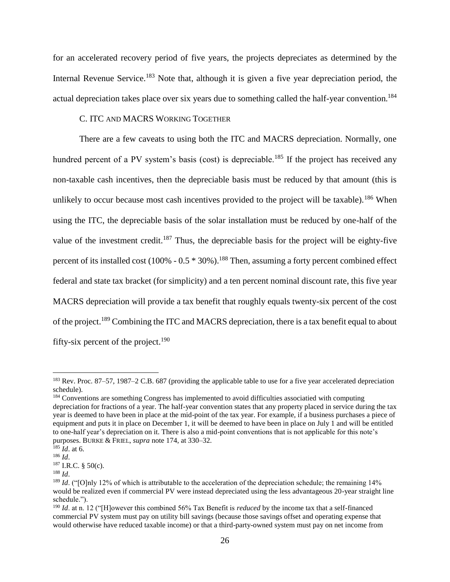for an accelerated recovery period of five years, the projects depreciates as determined by the Internal Revenue Service.<sup>183</sup> Note that, although it is given a five year depreciation period, the actual depreciation takes place over six years due to something called the half-year convention.<sup>184</sup>

# C. ITC AND MACRS WORKING TOGETHER

There are a few caveats to using both the ITC and MACRS depreciation. Normally, one hundred percent of a PV system's basis (cost) is depreciable.<sup>185</sup> If the project has received any non-taxable cash incentives, then the depreciable basis must be reduced by that amount (this is unlikely to occur because most cash incentives provided to the project will be taxable).<sup>186</sup> When using the ITC, the depreciable basis of the solar installation must be reduced by one-half of the value of the investment credit.<sup>187</sup> Thus, the depreciable basis for the project will be eighty-five percent of its installed cost (100% -  $0.5 * 30%$ ).<sup>188</sup> Then, assuming a forty percent combined effect federal and state tax bracket (for simplicity) and a ten percent nominal discount rate, this five year MACRS depreciation will provide a tax benefit that roughly equals twenty-six percent of the cost of the project.<sup>189</sup> Combining the ITC and MACRS depreciation, there is a tax benefit equal to about fifty-six percent of the project.<sup>190</sup>

<sup>&</sup>lt;sup>183</sup> Rev. Proc. 87–57, 1987–2 C.B. 687 (providing the applicable table to use for a five year accelerated depreciation schedule).

<sup>&</sup>lt;sup>184</sup> Conventions are something Congress has implemented to avoid difficulties associatied with computing depreciation for fractions of a year. The half-year convention states that any property placed in service during the tax year is deemed to have been in place at the mid-point of the tax year. For example, if a business purchases a piece of equipment and puts it in place on December 1, it will be deemed to have been in place on July 1 and will be entitled to one-half year's depreciation on it. There is also a mid-point conventions that is not applicable for this note's purposes. BURKE & FRIEL, *supra* note [174,](#page-24-0) at 330–32.

 $185$  *Id.* at 6.

<sup>186</sup> *Id*.

 $187$  I.R.C. § 50(c).

<sup>188</sup> *Id*.

<sup>&</sup>lt;sup>189</sup> *Id.* ("[O]nly 12% of which is attributable to the acceleration of the depreciation schedule; the remaining 14% would be realized even if commercial PV were instead depreciated using the less advantageous 20-year straight line schedule.").

<sup>190</sup> *Id*. at n. 12 ("[H]owever this combined 56% Tax Benefit is *reduced* by the income tax that a self-financed commercial PV system must pay on utility bill savings (because those savings offset and operating expense that would otherwise have reduced taxable income) or that a third-party-owned system must pay on net income from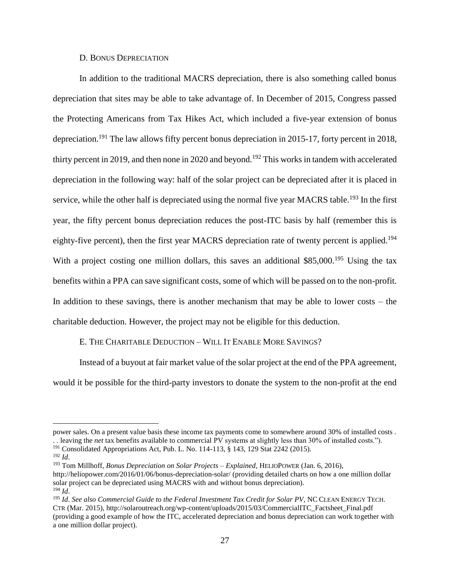#### D. BONUS DEPRECIATION

In addition to the traditional MACRS depreciation, there is also something called bonus depreciation that sites may be able to take advantage of. In December of 2015, Congress passed the Protecting Americans from Tax Hikes Act, which included a five-year extension of bonus depreciation.<sup>191</sup> The law allows fifty percent bonus depreciation in 2015-17, forty percent in 2018, thirty percent in 2019, and then none in 2020 and beyond.<sup>192</sup> This works in tandem with accelerated depreciation in the following way: half of the solar project can be depreciated after it is placed in service, while the other half is depreciated using the normal five year MACRS table.<sup>193</sup> In the first year, the fifty percent bonus depreciation reduces the post-ITC basis by half (remember this is eighty-five percent), then the first year MACRS depreciation rate of twenty percent is applied.<sup>194</sup> With a project costing one million dollars, this saves an additional  $$85,000$ .<sup>195</sup> Using the tax benefits within a PPA can save significant costs, some of which will be passed on to the non-profit. In addition to these savings, there is another mechanism that may be able to lower costs  $-$  the charitable deduction. However, the project may not be eligible for this deduction.

### E. THE CHARITABLE DEDUCTION – WILL IT ENABLE MORE SAVINGS?

Instead of a buyout at fair market value of the solar project at the end of the PPA agreement, would it be possible for the third-party investors to donate the system to the non-profit at the end

power sales. On a present value basis these income tax payments come to somewhere around 30% of installed costs . . . leaving the *net* tax benefits available to commercial PV systems at slightly less than 30% of installed costs.").

<sup>&</sup>lt;sup>191</sup> Consolidated Appropriations Act, Pub. L. No. 114-113, § 143, 129 Stat 2242 (2015).

<sup>192</sup> *Id*.

<sup>193</sup> Tom Millhoff, *Bonus Depreciation on Solar Projects – Explained*, HELIOPOWER (Jan. 6, 2016),

http://heliopower.com/2016/01/06/bonus-depreciation-solar/ (providing detailed charts on how a one million dollar solar project can be depreciated using MACRS with and without bonus depreciation).

<sup>194</sup> *Id*.

<sup>195</sup> *Id*. *See also Commercial Guide to the Federal Investment Tax Credit for Solar PV*, NC CLEAN ENERGY TECH. CTR (Mar. 2015), http://solaroutreach.org/wp-content/uploads/2015/03/CommercialITC\_Factsheet\_Final.pdf (providing a good example of how the ITC, accelerated depreciation and bonus depreciation can work together with a one million dollar project).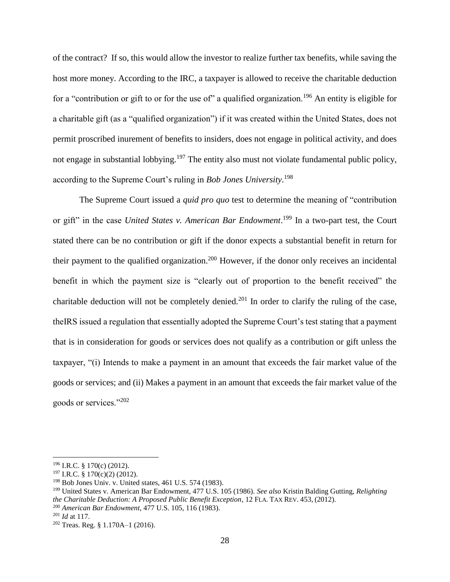of the contract? If so, this would allow the investor to realize further tax benefits, while saving the host more money. According to the IRC, a taxpayer is allowed to receive the charitable deduction for a "contribution or gift to or for the use of" a qualified organization.<sup>196</sup> An entity is eligible for a charitable gift (as a "qualified organization") if it was created within the United States, does not permit proscribed inurement of benefits to insiders, does not engage in political activity, and does not engage in substantial lobbying.<sup>197</sup> The entity also must not violate fundamental public policy, according to the Supreme Court's ruling in *Bob Jones University*. 198

<span id="page-27-0"></span>The Supreme Court issued a *quid pro quo* test to determine the meaning of "contribution or gift" in the case *United States v. American Bar Endowment*. <sup>199</sup> In a two-part test, the Court stated there can be no contribution or gift if the donor expects a substantial benefit in return for their payment to the qualified organization.<sup>200</sup> However, if the donor only receives an incidental benefit in which the payment size is "clearly out of proportion to the benefit received" the charitable deduction will not be completely denied.<sup>201</sup> In order to clarify the ruling of the case, theIRS issued a regulation that essentially adopted the Supreme Court's test stating that a payment that is in consideration for goods or services does not qualify as a contribution or gift unless the taxpayer, "(i) Intends to make a payment in an amount that exceeds the fair market value of the goods or services; and (ii) Makes a payment in an amount that exceeds the fair market value of the goods or services."<sup>202</sup>

 $196$  I.R.C. § 170(c) (2012).

 $197$  I.R.C. § 170(c)(2) (2012).

<sup>198</sup> Bob Jones Univ. v. United states, 461 U.S. 574 (1983).

<sup>199</sup> United States v. American Bar Endowment, 477 U.S. 105 (1986). *See also* Kristin Balding Gutting, *Relighting the Charitable Deduction: A Proposed Public Benefit Exception*, 12 FLA. TAX REV. 453, (2012). <sup>200</sup> *American Bar Endowment*, 477 U.S. 105, 116 (1983).

<sup>201</sup> *Id* at 117.

<sup>202</sup> Treas. Reg. § 1.170A–1 (2016).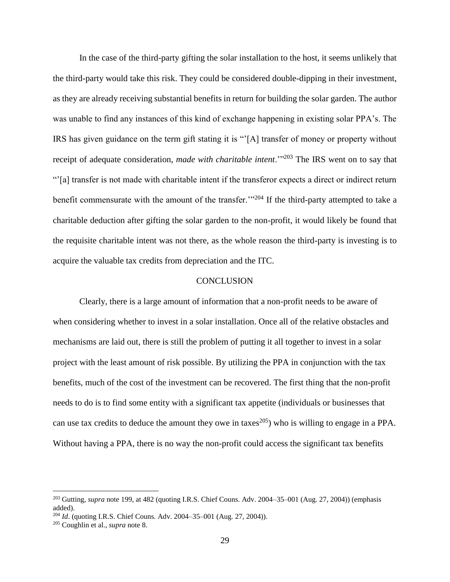In the case of the third-party gifting the solar installation to the host, it seems unlikely that the third-party would take this risk. They could be considered double-dipping in their investment, as they are already receiving substantial benefits in return for building the solar garden. The author was unable to find any instances of this kind of exchange happening in existing solar PPA's. The IRS has given guidance on the term gift stating it is "'[A] transfer of money or property without receipt of adequate consideration, *made with charitable intent*.'"<sup>203</sup> The IRS went on to say that "'[a] transfer is not made with charitable intent if the transferor expects a direct or indirect return benefit commensurate with the amount of the transfer.<sup>"204</sup> If the third-party attempted to take a charitable deduction after gifting the solar garden to the non-profit, it would likely be found that the requisite charitable intent was not there, as the whole reason the third-party is investing is to acquire the valuable tax credits from depreciation and the ITC.

#### **CONCLUSION**

Clearly, there is a large amount of information that a non-profit needs to be aware of when considering whether to invest in a solar installation. Once all of the relative obstacles and mechanisms are laid out, there is still the problem of putting it all together to invest in a solar project with the least amount of risk possible. By utilizing the PPA in conjunction with the tax benefits, much of the cost of the investment can be recovered. The first thing that the non-profit needs to do is to find some entity with a significant tax appetite (individuals or businesses that can use tax credits to deduce the amount they owe in taxes<sup>205</sup>) who is willing to engage in a PPA. Without having a PPA, there is no way the non-profit could access the significant tax benefits

<sup>203</sup> Gutting, *supra* note [199,](#page-27-0) at 482 (quoting I.R.S. Chief Couns. Adv. 2004–35–001 (Aug. 27, 2004)) (emphasis added).

<sup>204</sup> *Id*. (quoting I.R.S. Chief Couns. Adv. 2004–35–001 (Aug. 27, 2004)).

<sup>205</sup> Coughlin et al., *supra* note [8.](#page-1-1)